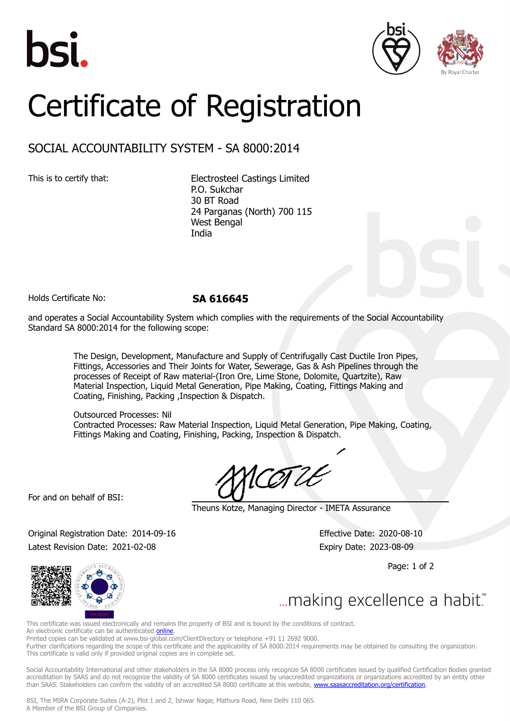





## Certificate of Registration

## SOCIAL ACCOUNTABILITY SYSTEM - SA 8000:2014

This is to certify that: Electrosteel Castings Limited P.O. Sukchar 30 BT Road 24 Parganas (North) 700 115 West Bengal India

Holds Certificate No: **SA 616645**

and operates a Social Accountability System which complies with the requirements of the Social Accountability Standard SA 8000:2014 for the following scope:

> The Design, Development, Manufacture and Supply of Centrifugally Cast Ductile Iron Pipes, Fittings, Accessories and Their Joints for Water, Sewerage, Gas & Ash Pipelines through the processes of Receipt of Raw material-(Iron Ore, Lime Stone, Dolomite, Quartzite), Raw Material Inspection, Liquid Metal Generation, Pipe Making, Coating, Fittings Making and Coating, Finishing, Packing ,Inspection & Dispatch.

Outsourced Processes: Nil Contracted Processes: Raw Material Inspection, Liquid Metal Generation, Pipe Making, Coating, Fittings Making and Coating, Finishing, Packing, Inspection & Dispatch.

For and on behalf of BSI:

Theuns Kotze, Managing Director - IMETA Assurance

Original Registration Date: 2014-09-16 Effective Date: 2020-08-10 Latest Revision Date: 2021-02-08 **Expiry Date: 2023-08-09** 

Page: 1 of 2



... making excellence a habit."

This certificate was issued electronically and remains the property of BSI and is bound by the conditions of contract.

An electronic certificate can be authenticated *[online](https://pgplus.bsigroup.com/CertificateValidation/CertificateValidator.aspx?CertificateNumber=SA+616645&ReIssueDate=08%2f02%2f2021&Template=india_en)*.

Printed copies can be validated at www.bsi-global.com/ClientDirectory or telephone +91 11 2692 9000.

Further clarifications regarding the scope of this certificate and the applicability of SA 8000:2014 requirements may be obtained by consulting the organization. This certificate is valid only if provided original copies are in complete set.

Social Accountability International and other stakeholders in the SA 8000 process only recognize SA 8000 certificates issued by qualified Certification Bodies granted accreditation by SAAS and do not recognize the validity of SA 8000 certificates issued by unaccredited organizations or organizations accredited by an entity other than SAAS. Stakeholders can confirm the validity of an accredited SA 8000 certificate at this website, [www.saasaccreditation.org/certification.](www.saasaccreditation.org/certification)

BSI, The MIRA Corporate Suites (A-2), Plot 1 and 2, Ishwar Nagar, Mathura Road, New Delhi 110 065. A Member of the BSI Group of Companies.